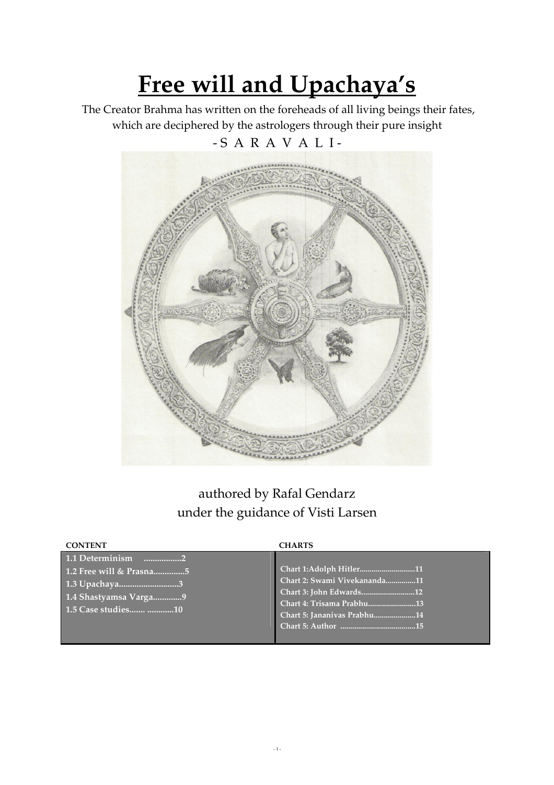# Free will and Upachaya's

 The Creator Brahma has written on the foreheads of all living beings their fates, which are deciphered by the astrologers through their pure insight - S A R A V A L I -

# authored by Rafal Gendarz under the guidance of Visti Larsen

| <b>CONTENT</b>                                                                                              | <b>CHARTS</b>                                                                                                                                  |
|-------------------------------------------------------------------------------------------------------------|------------------------------------------------------------------------------------------------------------------------------------------------|
| 1.1 Determinism<br>1.2 Free will & Prasna5<br>1.3 Upachaya3<br>1.4 Shastyamsa Varga9<br>1.5 Case studies 10 | Chart 1:Adolph Hitler11<br>Chart 2: Swami Vivekananda11<br>Chart 3: John Edwards12<br>Chart 4: Trisama Prabhu13<br>Chart 5: Jananivas Prabhu14 |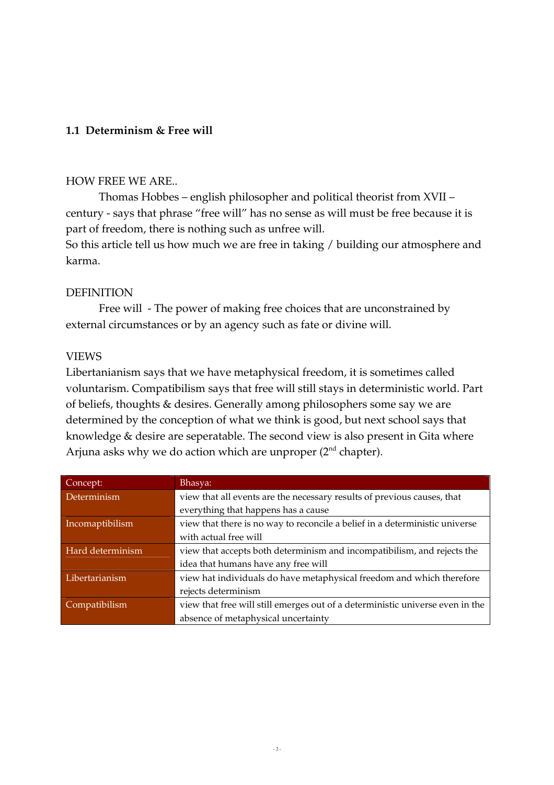# 1.1 Determinism & Free will

### HOW FREE WE ARE..

Thomas Hobbes – english philosopher and political theorist from XVII – century - says that phrase "free will" has no sense as will must be free because it is part of freedom, there is nothing such as unfree will.

So this article tell us how much we are free in taking / building our atmosphere and karma.

## DEFINITION

Free will - The power of making free choices that are unconstrained by external circumstances or by an agency such as fate or divine will.

#### VIEWS

Libertanianism says that we have metaphysical freedom, it is sometimes called voluntarism. Compatibilism says that free will still stays in deterministic world. Part of beliefs, thoughts & desires. Generally among philosophers some say we are determined by the conception of what we think is good, but next school says that knowledge & desire are seperatable. The second view is also present in Gita where Arjuna asks why we do action which are unproper  $(2<sup>nd</sup>$  chapter).

| Concept:         | Bhasya:                                                                       |  |  |  |  |  |  |
|------------------|-------------------------------------------------------------------------------|--|--|--|--|--|--|
| Determinism      | view that all events are the necessary results of previous causes, that       |  |  |  |  |  |  |
|                  | everything that happens has a cause                                           |  |  |  |  |  |  |
| Incomaptibilism  | view that there is no way to reconcile a belief in a deterministic universe   |  |  |  |  |  |  |
|                  | with actual free will                                                         |  |  |  |  |  |  |
| Hard determinism | view that accepts both determinism and incompatibilism, and rejects the       |  |  |  |  |  |  |
|                  | idea that humans have any free will                                           |  |  |  |  |  |  |
| Libertarianism   | view hat individuals do have metaphysical freedom and which therefore         |  |  |  |  |  |  |
|                  | rejects determinism                                                           |  |  |  |  |  |  |
| Compatibilism    | view that free will still emerges out of a deterministic universe even in the |  |  |  |  |  |  |
|                  | absence of metaphysical uncertainty                                           |  |  |  |  |  |  |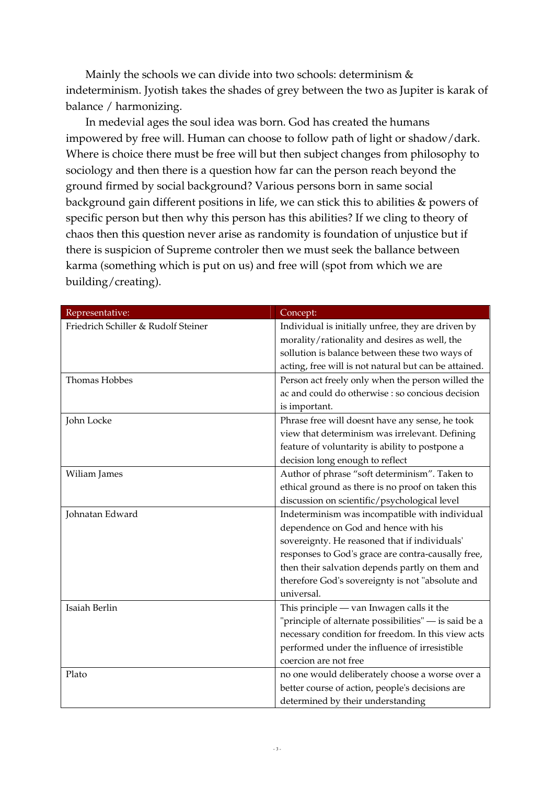Mainly the schools we can divide into two schools: determinism & indeterminism. Jyotish takes the shades of grey between the two as Jupiter is karak of balance / harmonizing.

In medevial ages the soul idea was born. God has created the humans impowered by free will. Human can choose to follow path of light or shadow/dark. Where is choice there must be free will but then subject changes from philosophy to sociology and then there is a question how far can the person reach beyond the ground firmed by social background? Various persons born in same social background gain different positions in life, we can stick this to abilities & powers of specific person but then why this person has this abilities? If we cling to theory of chaos then this question never arise as randomity is foundation of unjustice but if there is suspicion of Supreme controler then we must seek the ballance between karma (something which is put on us) and free will (spot from which we are building/creating).

| Representative:                     | Concept:                                              |
|-------------------------------------|-------------------------------------------------------|
| Friedrich Schiller & Rudolf Steiner | Individual is initially unfree, they are driven by    |
|                                     | morality/rationality and desires as well, the         |
|                                     | sollution is balance between these two ways of        |
|                                     | acting, free will is not natural but can be attained. |
| Thomas Hobbes                       | Person act freely only when the person willed the     |
|                                     | ac and could do otherwise : so concious decision      |
|                                     | is important.                                         |
| John Locke                          | Phrase free will doesnt have any sense, he took       |
|                                     | view that determinism was irrelevant. Defining        |
|                                     | feature of voluntarity is ability to postpone a       |
|                                     | decision long enough to reflect                       |
| Wiliam James                        | Author of phrase "soft determinism". Taken to         |
|                                     | ethical ground as there is no proof on taken this     |
|                                     | discussion on scientific/psychological level          |
| Johnatan Edward                     | Indeterminism was incompatible with individual        |
|                                     | dependence on God and hence with his                  |
|                                     | sovereignty. He reasoned that if individuals'         |
|                                     | responses to God's grace are contra-causally free,    |
|                                     | then their salvation depends partly on them and       |
|                                     | therefore God's sovereignty is not "absolute and      |
|                                     | universal.                                            |
| Isaiah Berlin                       | This principle - van Inwagen calls it the             |
|                                     | "principle of alternate possibilities" - is said be a |
|                                     | necessary condition for freedom. In this view acts    |
|                                     | performed under the influence of irresistible         |
|                                     | coercion are not free                                 |
| Plato                               | no one would deliberately choose a worse over a       |
|                                     | better course of action, people's decisions are       |
|                                     | determined by their understanding                     |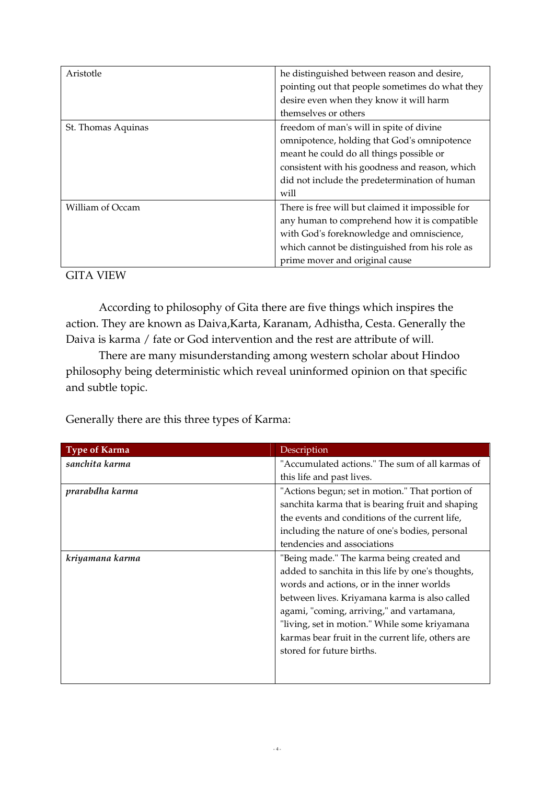| Aristotle          | he distinguished between reason and desire,      |  |  |  |  |  |  |
|--------------------|--------------------------------------------------|--|--|--|--|--|--|
|                    | pointing out that people sometimes do what they  |  |  |  |  |  |  |
|                    | desire even when they know it will harm          |  |  |  |  |  |  |
|                    | themselves or others                             |  |  |  |  |  |  |
| St. Thomas Aquinas | freedom of man's will in spite of divine         |  |  |  |  |  |  |
|                    | omnipotence, holding that God's omnipotence      |  |  |  |  |  |  |
|                    | meant he could do all things possible or         |  |  |  |  |  |  |
|                    | consistent with his goodness and reason, which   |  |  |  |  |  |  |
|                    | did not include the predetermination of human    |  |  |  |  |  |  |
|                    | will                                             |  |  |  |  |  |  |
| William of Occam   | There is free will but claimed it impossible for |  |  |  |  |  |  |
|                    | any human to comprehend how it is compatible     |  |  |  |  |  |  |
|                    | with God's foreknowledge and omniscience,        |  |  |  |  |  |  |
|                    | which cannot be distinguished from his role as   |  |  |  |  |  |  |
|                    | prime mover and original cause                   |  |  |  |  |  |  |

GITA VIEW

 According to philosophy of Gita there are five things which inspires the action. They are known as Daiva,Karta, Karanam, Adhistha, Cesta. Generally the Daiva is karma / fate or God intervention and the rest are attribute of will.

 There are many misunderstanding among western scholar about Hindoo philosophy being deterministic which reveal uninformed opinion on that specific and subtle topic.

Generally there are this three types of Karma:

| <b>Type of Karma</b> | Description                                       |  |  |  |  |
|----------------------|---------------------------------------------------|--|--|--|--|
| sanchita karma       | "Accumulated actions." The sum of all karmas of   |  |  |  |  |
|                      | this life and past lives.                         |  |  |  |  |
| prarabdha karma      | "Actions begun; set in motion." That portion of   |  |  |  |  |
|                      | sanchita karma that is bearing fruit and shaping  |  |  |  |  |
|                      | the events and conditions of the current life,    |  |  |  |  |
|                      | including the nature of one's bodies, personal    |  |  |  |  |
|                      | tendencies and associations                       |  |  |  |  |
| kriyamana karma      | "Being made." The karma being created and         |  |  |  |  |
|                      | added to sanchita in this life by one's thoughts, |  |  |  |  |
|                      | words and actions, or in the inner worlds         |  |  |  |  |
|                      | between lives. Kriyamana karma is also called     |  |  |  |  |
|                      | agami, "coming, arriving," and vartamana,         |  |  |  |  |
|                      | "living, set in motion." While some kriyamana     |  |  |  |  |
|                      | karmas bear fruit in the current life, others are |  |  |  |  |
|                      | stored for future births.                         |  |  |  |  |
|                      |                                                   |  |  |  |  |
|                      |                                                   |  |  |  |  |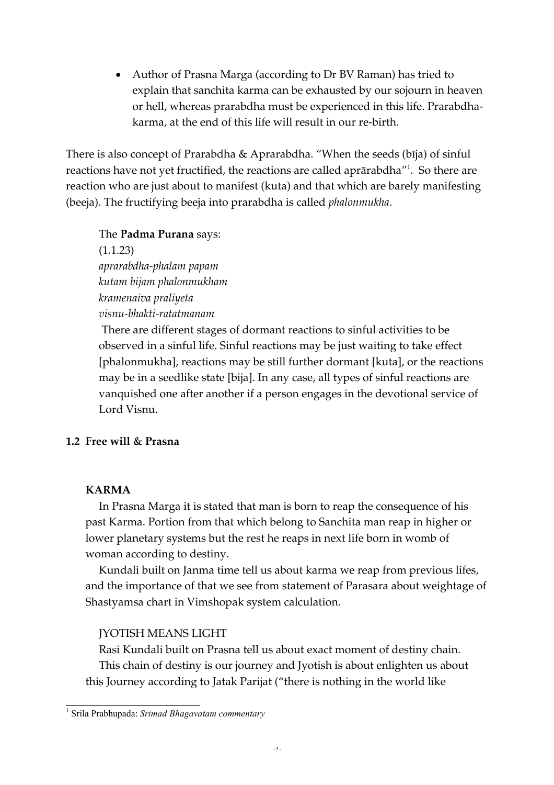• Author of Prasna Marga (according to Dr BV Raman) has tried to explain that sanchita karma can be exhausted by our sojourn in heaven or hell, whereas prarabdha must be experienced in this life. Prarabdhakarma, at the end of this life will result in our re-birth.

There is also concept of Prarabdha & Aprarabdha. "When the seeds (bija) of sinful reactions have not yet fructified, the reactions are called aprārabdha"<sup>1</sup>. So there are reaction who are just about to manifest (kuta) and that which are barely manifesting (beeja). The fructifying beeja into prarabdha is called phalonmukha.

### The Padma Purana says:

(1.1.23) aprarabdha-phalam papam kutam bijam phalonmukham kramenaiva praliyeta visnu-bhakti-ratatmanam

 There are different stages of dormant reactions to sinful activities to be observed in a sinful life. Sinful reactions may be just waiting to take effect [phalonmukha], reactions may be still further dormant [kuta], or the reactions may be in a seedlike state [bija]. In any case, all types of sinful reactions are vanquished one after another if a person engages in the devotional service of Lord Visnu.

# 1.2 Free will & Prasna

# KARMA

In Prasna Marga it is stated that man is born to reap the consequence of his past Karma. Portion from that which belong to Sanchita man reap in higher or lower planetary systems but the rest he reaps in next life born in womb of woman according to destiny.

Kundali built on Janma time tell us about karma we reap from previous lifes, and the importance of that we see from statement of Parasara about weightage of Shastyamsa chart in Vimshopak system calculation.

# JYOTISH MEANS LIGHT

Rasi Kundali built on Prasna tell us about exact moment of destiny chain. This chain of destiny is our journey and Jyotish is about enlighten us about this Journey according to Jatak Parijat ("there is nothing in the world like

 1 Srila Prabhupada: Srimad Bhagavatam commentary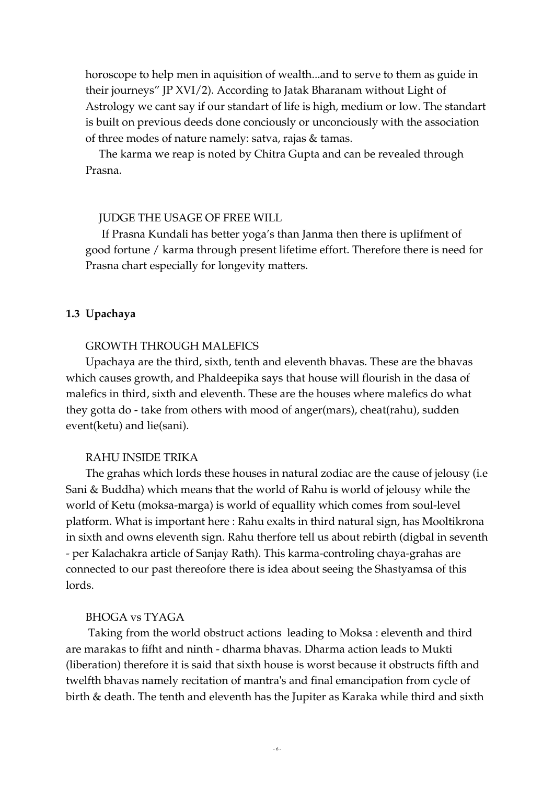horoscope to help men in aquisition of wealth...and to serve to them as guide in their journeys" JP XVI/2). According to Jatak Bharanam without Light of Astrology we cant say if our standart of life is high, medium or low. The standart is built on previous deeds done conciously or unconciously with the association of three modes of nature namely: satva, rajas & tamas.

The karma we reap is noted by Chitra Gupta and can be revealed through Prasna.

#### JUDGE THE USAGE OF FREE WILL

 If Prasna Kundali has better yoga's than Janma then there is uplifment of good fortune / karma through present lifetime effort. Therefore there is need for Prasna chart especially for longevity matters.

#### 1.3 Upachaya

#### GROWTH THROUGH MALEFICS

Upachaya are the third, sixth, tenth and eleventh bhavas. These are the bhavas which causes growth, and Phaldeepika says that house will flourish in the dasa of malefics in third, sixth and eleventh. These are the houses where malefics do what they gotta do - take from others with mood of anger(mars), cheat(rahu), sudden event(ketu) and lie(sani).

#### RAHU INSIDE TRIKA

The grahas which lords these houses in natural zodiac are the cause of jelousy (i.e Sani & Buddha) which means that the world of Rahu is world of jelousy while the world of Ketu (moksa-marga) is world of equallity which comes from soul-level platform. What is important here : Rahu exalts in third natural sign, has Mooltikrona in sixth and owns eleventh sign. Rahu therfore tell us about rebirth (digbal in seventh - per Kalachakra article of Sanjay Rath). This karma-controling chaya-grahas are connected to our past thereofore there is idea about seeing the Shastyamsa of this lords.

#### BHOGA vs TYAGA

 Taking from the world obstruct actions leading to Moksa : eleventh and third are marakas to fifht and ninth - dharma bhavas. Dharma action leads to Mukti (liberation) therefore it is said that sixth house is worst because it obstructs fifth and twelfth bhavas namely recitation of mantra's and final emancipation from cycle of birth & death. The tenth and eleventh has the Jupiter as Karaka while third and sixth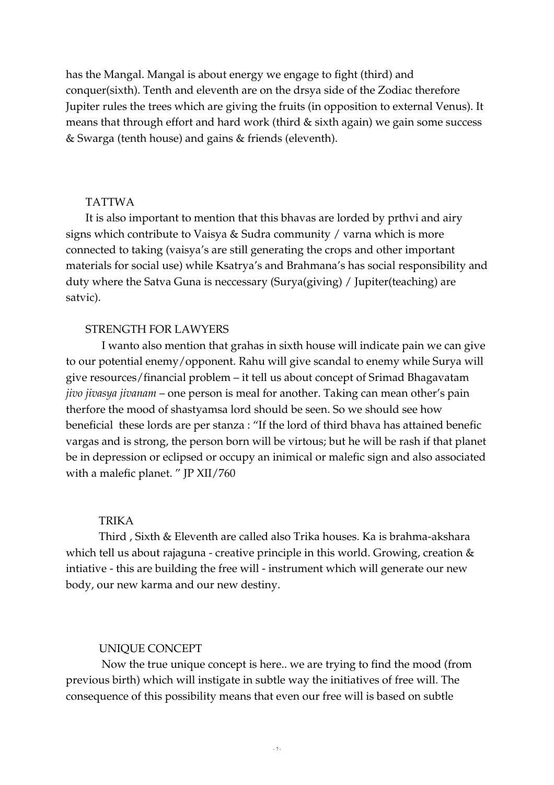has the Mangal. Mangal is about energy we engage to fight (third) and conquer(sixth). Tenth and eleventh are on the drsya side of the Zodiac therefore Jupiter rules the trees which are giving the fruits (in opposition to external Venus). It means that through effort and hard work (third & sixth again) we gain some success & Swarga (tenth house) and gains & friends (eleventh).

#### TATTWA

It is also important to mention that this bhavas are lorded by prthvi and airy signs which contribute to Vaisya & Sudra community / varna which is more connected to taking (vaisya's are still generating the crops and other important materials for social use) while Ksatrya's and Brahmana's has social responsibility and duty where the Satva Guna is neccessary (Surya(giving) / Jupiter(teaching) are satvic).

#### STRENGTH FOR LAWYERS

 I wanto also mention that grahas in sixth house will indicate pain we can give to our potential enemy/opponent. Rahu will give scandal to enemy while Surya will give resources/financial problem – it tell us about concept of Srimad Bhagavatam jivo jivasya jivanam – one person is meal for another. Taking can mean other's pain therfore the mood of shastyamsa lord should be seen. So we should see how beneficial these lords are per stanza : "If the lord of third bhava has attained benefic vargas and is strong, the person born will be virtous; but he will be rash if that planet be in depression or eclipsed or occupy an inimical or malefic sign and also associated with a malefic planet. " JP XII/760

#### TRIKA

Third , Sixth & Eleventh are called also Trika houses. Ka is brahma-akshara which tell us about rajaguna - creative principle in this world. Growing, creation & intiative - this are building the free will - instrument which will generate our new body, our new karma and our new destiny.

#### UNIQUE CONCEPT

 Now the true unique concept is here.. we are trying to find the mood (from previous birth) which will instigate in subtle way the initiatives of free will. The consequence of this possibility means that even our free will is based on subtle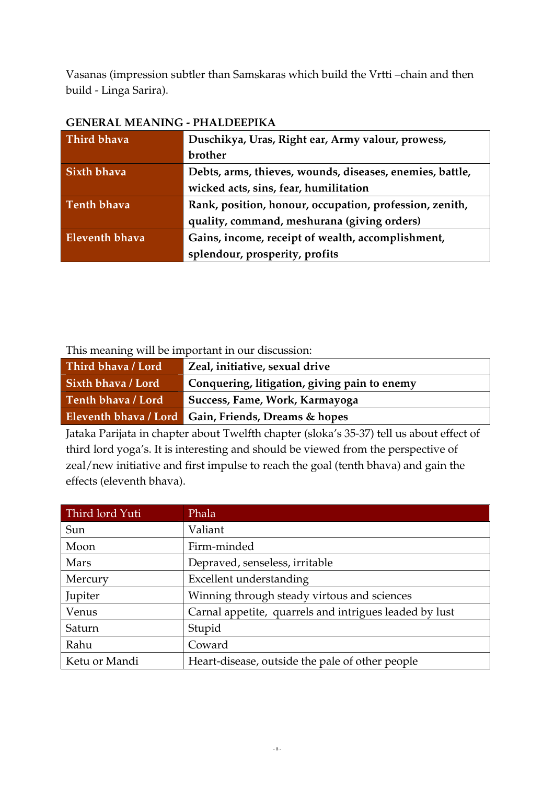Vasanas (impression subtler than Samskaras which build the Vrtti –chain and then build - Linga Sarira).

| Third bhava           | Duschikya, Uras, Right ear, Army valour, prowess,        |  |  |  |  |  |
|-----------------------|----------------------------------------------------------|--|--|--|--|--|
|                       | brother                                                  |  |  |  |  |  |
| Sixth bhava           | Debts, arms, thieves, wounds, diseases, enemies, battle, |  |  |  |  |  |
|                       | wicked acts, sins, fear, humilitation                    |  |  |  |  |  |
| <b>Tenth bhava</b>    | Rank, position, honour, occupation, profession, zenith,  |  |  |  |  |  |
|                       | quality, command, meshurana (giving orders)              |  |  |  |  |  |
| <b>Eleventh bhava</b> | Gains, income, receipt of wealth, accomplishment,        |  |  |  |  |  |
|                       | splendour, prosperity, profits                           |  |  |  |  |  |

# GENERAL MEANING - PHALDEEPIKA

This meaning will be important in our discussion:

| Third bhava / Lord        | Zeal, initiative, sexual drive                      |
|---------------------------|-----------------------------------------------------|
| <b>Sixth bhava / Lord</b> | Conquering, litigation, giving pain to enemy        |
| Tenth bhava / Lord        | Success, Fame, Work, Karmayoga                      |
|                           | Eleventh bhava / Lord Gain, Friends, Dreams & hopes |

Jataka Parijata in chapter about Twelfth chapter (sloka's 35-37) tell us about effect of third lord yoga's. It is interesting and should be viewed from the perspective of zeal/new initiative and first impulse to reach the goal (tenth bhava) and gain the effects (eleventh bhava).

| Third lord Yuti | Phala                                                  |
|-----------------|--------------------------------------------------------|
| Sun             | Valiant                                                |
| Moon            | Firm-minded                                            |
| Mars            | Depraved, senseless, irritable                         |
| Mercury         | Excellent understanding                                |
| Jupiter         | Winning through steady virtous and sciences            |
| Venus           | Carnal appetite, quarrels and intrigues leaded by lust |
| Saturn          | Stupid                                                 |
| Rahu            | Coward                                                 |
| Ketu or Mandi   | Heart-disease, outside the pale of other people        |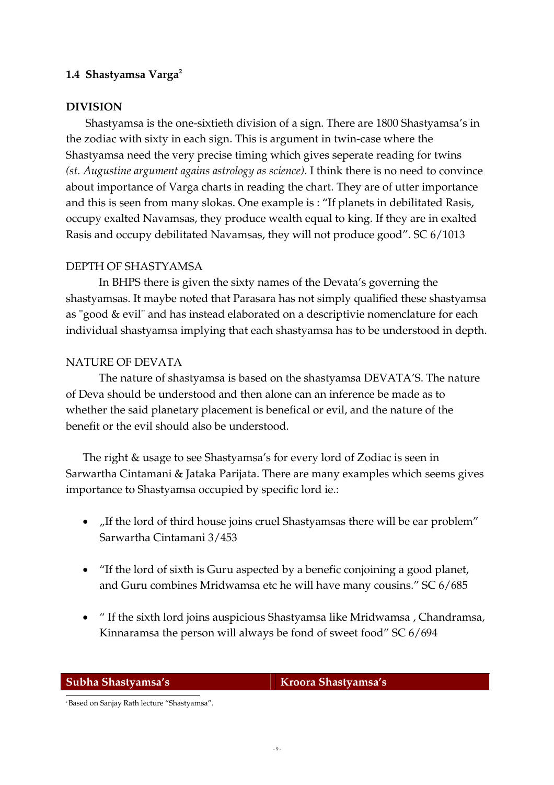# 1.4 Shastyamsa Varga $2$

# DIVISION

Shastyamsa is the one-sixtieth division of a sign. There are 1800 Shastyamsa's in the zodiac with sixty in each sign. This is argument in twin-case where the Shastyamsa need the very precise timing which gives seperate reading for twins (st. Augustine argument agains astrology as science). I think there is no need to convince about importance of Varga charts in reading the chart. They are of utter importance and this is seen from many slokas. One example is : "If planets in debilitated Rasis, occupy exalted Navamsas, they produce wealth equal to king. If they are in exalted Rasis and occupy debilitated Navamsas, they will not produce good". SC 6/1013

# DEPTH OF SHASTYAMSA

In BHPS there is given the sixty names of the Devata's governing the shastyamsas. It maybe noted that Parasara has not simply qualified these shastyamsa as "good & evil" and has instead elaborated on a descriptivie nomenclature for each individual shastyamsa implying that each shastyamsa has to be understood in depth.

# NATURE OF DEVATA

The nature of shastyamsa is based on the shastyamsa DEVATA'S. The nature of Deva should be understood and then alone can an inference be made as to whether the said planetary placement is benefical or evil, and the nature of the benefit or the evil should also be understood.

The right & usage to see Shastyamsa's for every lord of Zodiac is seen in Sarwartha Cintamani & Jataka Parijata. There are many examples which seems gives importance to Shastyamsa occupied by specific lord ie.:

- "If the lord of third house joins cruel Shastyamsas there will be ear problem" Sarwartha Cintamani 3/453
- "If the lord of sixth is Guru aspected by a benefic conjoining a good planet, and Guru combines Mridwamsa etc he will have many cousins." SC 6/685
- " If the sixth lord joins auspicious Shastyamsa like Mridwamsa , Chandramsa, Kinnaramsa the person will always be fond of sweet food" SC 6/694

 $\overline{\phantom{a}}$ 

Subha Shastyamsa's Kroora Shastyamsa's

<sup>2</sup> Based on Sanjay Rath lecture "Shastyamsa".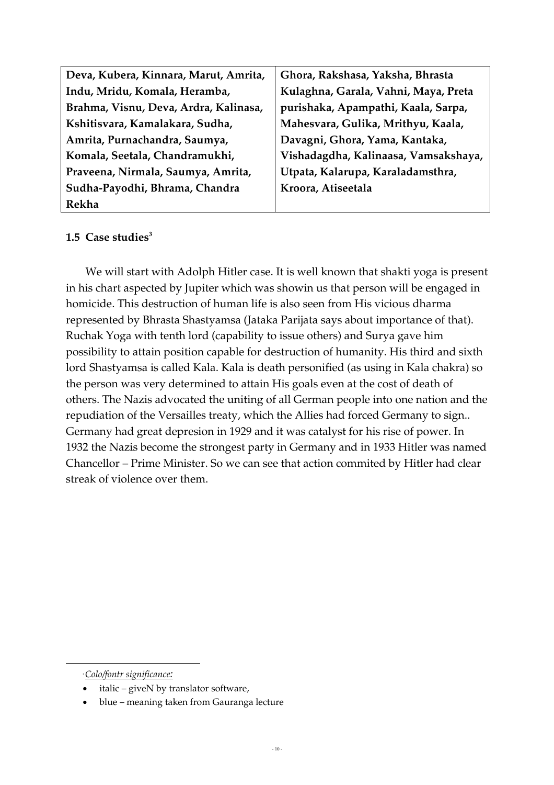| Deva, Kubera, Kinnara, Marut, Amrita, | Ghora, Rakshasa, Yaksha, Bhrasta     |
|---------------------------------------|--------------------------------------|
| Indu, Mridu, Komala, Heramba,         | Kulaghna, Garala, Vahni, Maya, Preta |
| Brahma, Visnu, Deva, Ardra, Kalinasa, | purishaka, Apampathi, Kaala, Sarpa,  |
| Kshitisvara, Kamalakara, Sudha,       | Mahesvara, Gulika, Mrithyu, Kaala,   |
| Amrita, Purnachandra, Saumya,         | Davagni, Ghora, Yama, Kantaka,       |
| Komala, Seetala, Chandramukhi,        | Vishadagdha, Kalinaasa, Vamsakshaya, |
| Praveena, Nirmala, Saumya, Amrita,    | Utpata, Kalarupa, Karaladamsthra,    |
| Sudha-Payodhi, Bhrama, Chandra        | Kroora, Atiseetala                   |
| Rekha                                 |                                      |

# 1.5 Case studies $3$

We will start with Adolph Hitler case. It is well known that shakti yoga is present in his chart aspected by Jupiter which was showin us that person will be engaged in homicide. This destruction of human life is also seen from His vicious dharma represented by Bhrasta Shastyamsa (Jataka Parijata says about importance of that). Ruchak Yoga with tenth lord (capability to issue others) and Surya gave him possibility to attain position capable for destruction of humanity. His third and sixth lord Shastyamsa is called Kala. Kala is death personified (as using in Kala chakra) so the person was very determined to attain His goals even at the cost of death of others. The Nazis advocated the uniting of all German people into one nation and the repudiation of the Versailles treaty, which the Allies had forced Germany to sign.. Germany had great depresion in 1929 and it was catalyst for his rise of power. In 1932 the Nazis become the strongest party in Germany and in 1933 Hitler was named Chancellor – Prime Minister. So we can see that action commited by Hitler had clear streak of violence over them.

<sup>3</sup>Colo/fontr significance:

 $\overline{\phantom{a}}$ 

<sup>•</sup> italic – giveN by translator software,

<sup>•</sup> blue – meaning taken from Gauranga lecture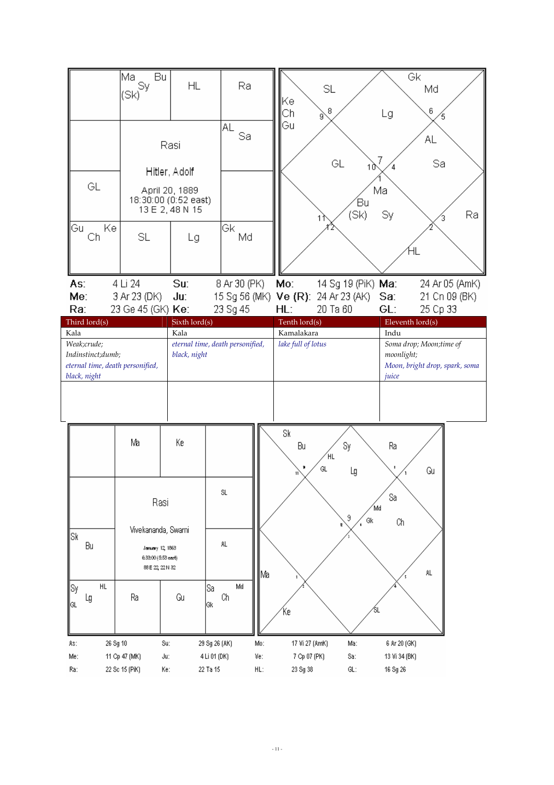|                                  | Mal<br>Bu<br>Sy                         | <b>HL</b>            | Ra                               |                                                             |                    | Gk                             |  |  |
|----------------------------------|-----------------------------------------|----------------------|----------------------------------|-------------------------------------------------------------|--------------------|--------------------------------|--|--|
|                                  | (Sk)                                    |                      |                                  | SL                                                          |                    | Md                             |  |  |
|                                  |                                         |                      |                                  | Ke<br>8<br>Сh                                               | Lg                 | 6                              |  |  |
|                                  |                                         |                      | AL                               | g<br>Gu                                                     |                    |                                |  |  |
|                                  |                                         |                      | Sa                               |                                                             |                    | AL                             |  |  |
|                                  |                                         | Rasi                 |                                  |                                                             |                    |                                |  |  |
|                                  |                                         |                      |                                  | GL                                                          | 7<br>10            | Sa                             |  |  |
|                                  |                                         | Hitler, Adolf        |                                  |                                                             |                    |                                |  |  |
| GL                               |                                         | April 20, 1889       |                                  |                                                             | Ma                 |                                |  |  |
|                                  |                                         | 18:30:00 (0:52 east) |                                  |                                                             | Έu                 |                                |  |  |
|                                  |                                         | 13 E 2, 48 N 15      |                                  |                                                             | (Sk)<br>Sy         | Ra                             |  |  |
| Gu<br>Ke                         |                                         |                      | Gk                               |                                                             |                    |                                |  |  |
| Ch                               | SL                                      | Lg                   | Md                               |                                                             |                    |                                |  |  |
|                                  |                                         |                      |                                  |                                                             |                    | ΉL                             |  |  |
|                                  |                                         |                      |                                  |                                                             |                    |                                |  |  |
| As:                              | 4 Li 24                                 | Su:                  | 8 Ar 30 (PK)                     | Mo:                                                         | 14 Sg 19 (PiK) Ma: | 24 Ar 05 (AmK)                 |  |  |
| Me:                              | 3 Ar 23 (DK)                            | Ju:                  |                                  | 15 Sg 56 (MK) Ve (R): 24 Ar 23 (AK)                         | Sa:                | 21 Cn 09 (BK)                  |  |  |
| Ra:                              | 23 Ge 45 (GK) Ke:                       |                      | 23 Sg 45                         | 20 Ta 60<br>HL:                                             | GL:                | 25 Cp 33                       |  |  |
| Third lord(s)                    |                                         | Sixth lord(s)        |                                  | Tenth lord(s)                                               |                    | Eleventh lord(s)               |  |  |
| Kala                             |                                         | Kala                 |                                  | Kamalakara                                                  | Indu               |                                |  |  |
| Weak;crude;<br>Indinstinct;dumb; |                                         | black, night         | eternal time, death personified, | Soma drop; Moon;time of<br>lake full of lotus<br>moonlight; |                    |                                |  |  |
| eternal time, death personified, |                                         |                      |                                  |                                                             |                    | Moon, bright drop, spark, soma |  |  |
| black, night                     |                                         |                      |                                  |                                                             | juice              |                                |  |  |
|                                  |                                         |                      |                                  |                                                             |                    |                                |  |  |
|                                  |                                         |                      |                                  |                                                             |                    |                                |  |  |
|                                  |                                         |                      |                                  |                                                             |                    |                                |  |  |
|                                  |                                         |                      |                                  | Sk                                                          |                    |                                |  |  |
|                                  |                                         |                      |                                  |                                                             |                    |                                |  |  |
|                                  | Ma                                      | Кe                   |                                  |                                                             |                    |                                |  |  |
|                                  |                                         |                      |                                  | Bu<br>ΉL                                                    | Sy<br>Ra           |                                |  |  |
|                                  |                                         |                      |                                  | GL                                                          | Lg                 | Gu                             |  |  |
|                                  |                                         |                      |                                  |                                                             |                    |                                |  |  |
|                                  |                                         |                      | SL                               |                                                             | Sa                 |                                |  |  |
|                                  | Rasi                                    |                      |                                  |                                                             | 'Md                |                                |  |  |
|                                  |                                         |                      |                                  |                                                             | 9<br>Gk            | Ch                             |  |  |
| Sk                               | Vivekananda, Swami                      |                      |                                  |                                                             |                    |                                |  |  |
| Bu                               | January 12, 1863                        |                      | AL.                              |                                                             |                    |                                |  |  |
|                                  | 6:33:00 (5:53 east)<br>88 E 22, 22 N 32 |                      |                                  |                                                             |                    |                                |  |  |
|                                  |                                         |                      | Ma                               |                                                             |                    | AL.                            |  |  |
| HL<br> Sy                        |                                         |                      | Md<br> Sa                        |                                                             |                    |                                |  |  |
| Lg<br>GL                         | Ra                                      | Gu                   | Ch<br>Gk                         |                                                             |                    |                                |  |  |
|                                  |                                         |                      |                                  | ´Ке                                                         | SL                 |                                |  |  |
|                                  |                                         |                      |                                  |                                                             |                    |                                |  |  |
| As:                              | 26 Sg 10<br>Su:                         |                      | 29 Sg 26 (AK)<br>Mo:             | 17 Vi 27 (AmK)                                              | Ma:                | 6 Ar 20 (GK)                   |  |  |
| Me:                              | 11 Cp 47 (MK)<br>Jut                    |                      | 4 Li 01 (DK)<br>Ve:              | 7 Cp 07 (PK)                                                | Sa:                | 13 Vi 34 (BK)                  |  |  |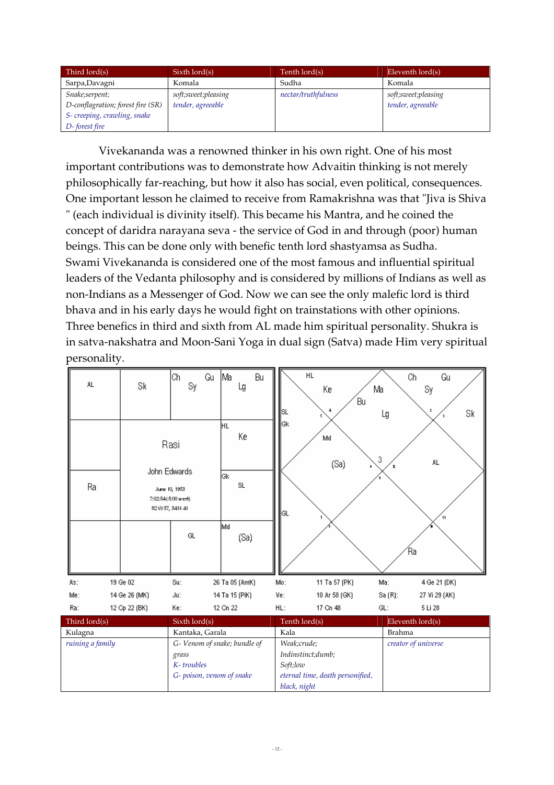| Third lord(s)                     | $Sixth$ lord $(s)$    | Tenth lord(s)       | Eleventh $\text{Iord}(s)$ |  |  |
|-----------------------------------|-----------------------|---------------------|---------------------------|--|--|
| Sarpa, Davagni<br>Komala          |                       | Sudha               | Komala                    |  |  |
| Snake;serpent;                    | soft; sweet; pleasing | nectar/truthfulness | soft;sweet;pleasing       |  |  |
| D-conflagration; forest fire (SR) | tender, agreeable     |                     | tender, agreeable         |  |  |
| S- creeping, crawling, snake      |                       |                     |                           |  |  |
| D-forest fire                     |                       |                     |                           |  |  |

Vivekananda was a renowned thinker in his own right. One of his most important contributions was to demonstrate how Advaitin thinking is not merely philosophically far-reaching, but how it also has social, even political, consequences. One important lesson he claimed to receive from Ramakrishna was that "Jiva is Shiva " (each individual is divinity itself). This became his Mantra, and he coined the concept of daridra narayana seva - the service of God in and through (poor) human beings. This can be done only with benefic tenth lord shastyamsa as Sudha. Swami Vivekananda is considered one of the most famous and influential spiritual leaders of the Vedanta philosophy and is considered by millions of Indians as well as non-Indians as a Messenger of God. Now we can see the only malefic lord is third bhava and in his early days he would fight on trainstations with other opinions. Three benefics in third and sixth from AL made him spiritual personality. Shukra is in satva-nakshatra and Moon-Sani Yoga in dual sign (Satva) made Him very spiritual personality.

|  | AL.              | Sk                                                                             | Ch<br>Sy                     | Gu | Ma<br>Lg                | Bu | SL          | HL<br>Кe<br>4                    | Ma<br>Bu | Ch<br>Lg            | Gu<br>Sy<br>Sk |
|--|------------------|--------------------------------------------------------------------------------|------------------------------|----|-------------------------|----|-------------|----------------------------------|----------|---------------------|----------------|
|  | Ra               | Rasi<br>John Edwards<br>June 10, 1953<br>7:02:54 (5:00 west)<br>82W 57, 34N 41 |                              |    | Iнг<br>Кe<br>lGk.<br>SL |    | lGk<br> GL  | Md<br>(Sa)                       | 3        | AL.                 |                |
|  |                  |                                                                                | GL                           |    | Md<br>(Sa)              |    |             |                                  |          | Έа                  |                |
|  | As:              | 19 Ge 02                                                                       | Su:                          |    | 26 Ta 05 (AmK)          |    | Mo:         | 11 Ta 57 (PK)                    | Ma:      |                     | 4 Ge 21 (DK)   |
|  | Me:              | 14 Ge 26 (MK)                                                                  | Ju:                          |    | 14 Ta 15 (PiK)          |    | Ve:         | 10 Ar 58 (GK)                    |          | Sa (R):             | 27 Vi 29 (AK)  |
|  | Ra:              | 12 Cp 22 (BK)                                                                  | Ke:                          |    | 12 Cn 22                |    | HL:         | 17 Cn 48                         | GL:      |                     | 5 Li 28        |
|  | Third lord(s)    |                                                                                | Sixth lord(s)                |    |                         |    |             | Tenth lord(s)                    |          | Eleventh lord(s)    |                |
|  | Kulagna          |                                                                                | Kantaka, Garala              |    |                         |    | Kala        |                                  |          | <b>Brahma</b>       |                |
|  | ruining a family |                                                                                | G- Venom of snake; bundle of |    |                         |    | Weak;crude; |                                  |          | creator of universe |                |
|  |                  |                                                                                | grass                        |    |                         |    |             | Indinstinct;dumb;                |          |                     |                |
|  |                  |                                                                                | K-troubles                   |    |                         |    |             | Soft;low                         |          |                     |                |
|  |                  |                                                                                | G- poison, venom of snake    |    |                         |    |             | eternal time, death personified, |          |                     |                |
|  |                  |                                                                                |                              |    |                         |    |             | black, night                     |          |                     |                |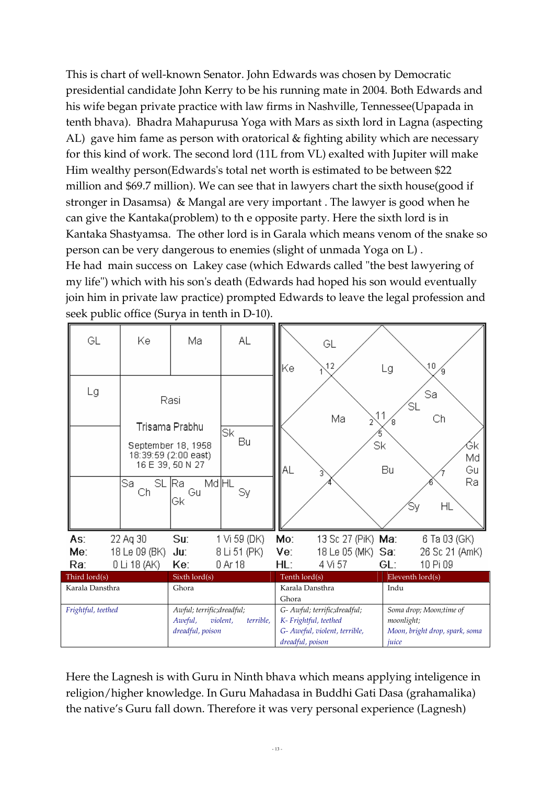This is chart of well-known Senator. John Edwards was chosen by Democratic presidential candidate John Kerry to be his running mate in 2004. Both Edwards and his wife began private practice with law firms in Nashville, Tennessee(Upapada in tenth bhava). Bhadra Mahapurusa Yoga with Mars as sixth lord in Lagna (aspecting AL) gave him fame as person with oratorical & fighting ability which are necessary for this kind of work. The second lord (11L from VL) exalted with Jupiter will make Him wealthy person(Edwards's total net worth is estimated to be between \$22 million and \$69.7 million). We can see that in lawyers chart the sixth house(good if stronger in Dasamsa) & Mangal are very important . The lawyer is good when he can give the Kantaka(problem) to th e opposite party. Here the sixth lord is in Kantaka Shastyamsa. The other lord is in Garala which means venom of the snake so person can be very dangerous to enemies (slight of unmada Yoga on L) . He had main success on Lakey case (which Edwards called "the best lawyering of my life") which with his son's death (Edwards had hoped his son would eventually join him in private law practice) prompted Edwards to leave the legal profession and seek public office (Surya in tenth in D-10).

| GL                 | Kе                                                                                       | Ma                          | AL                                                 | Κe                       | GL<br>12                                                                                                   | Lg       | 10                                                                               |  |
|--------------------|------------------------------------------------------------------------------------------|-----------------------------|----------------------------------------------------|--------------------------|------------------------------------------------------------------------------------------------------------|----------|----------------------------------------------------------------------------------|--|
| Lg                 | Rasi<br>Trisama Prabhu<br>September 18, 1958<br>18:39:59 (2:00 east)<br>16 E 39, 50 N 27 |                             | Sk<br>Bu                                           | AL                       | Ma                                                                                                         | Sk<br>Bu | Sa<br>΄SL<br>Ch<br>Ġк<br>Md<br>Gц                                                |  |
|                    | Sa<br>SL<br>Сh                                                                           | Md HL<br>lRa.<br>Gu<br>Gk   | Sy                                                 |                          |                                                                                                            |          | Ra<br>HL<br>Sy                                                                   |  |
| As:                | 22 Aq 30                                                                                 | Su:                         | 1 Vi 59 (DK)                                       | Mo:                      | 13 Sc 27 (PiK) <b>Ma</b> :                                                                                 |          | 6 Ta 03 (GK)                                                                     |  |
| Me:                | 18 Le 09 (BK)                                                                            | Ju:                         | 8 Li 51 (PK)                                       | Ve:                      | 18 Le 05 (MK) Sa:                                                                                          |          | 26 Sc 21 (AmK)                                                                   |  |
| Ra:                | 0 Li 18 (AK)                                                                             | Ke:                         | 0 Ar 18                                            | HL:                      | 4 Vi 57                                                                                                    | GL:      | 10 Pi 09                                                                         |  |
| Third lord(s)      |                                                                                          | Sixth lord(s)               |                                                    | Tenth lord(s)            |                                                                                                            |          | Eleventh lord(s)                                                                 |  |
| Karala Dansthra    |                                                                                          | Ghora                       |                                                    | Karala Dansthra<br>Ghora |                                                                                                            | Indu     |                                                                                  |  |
| Frightful, teethed |                                                                                          | Aweful,<br>dreadful, poison | Awful; terrific;dreadful;<br>violent,<br>terrible, |                          | G- Awful; terrific;dreadful;<br>K- Frightful, teethed<br>G- Aweful, violent, terrible,<br>dreadful, poison |          | Soma drop; Moon;time of<br>moonlight;<br>Moon, bright drop, spark, soma<br>juice |  |

Here the Lagnesh is with Guru in Ninth bhava which means applying inteligence in religion/higher knowledge. In Guru Mahadasa in Buddhi Gati Dasa (grahamalika) the native's Guru fall down. Therefore it was very personal experience (Lagnesh)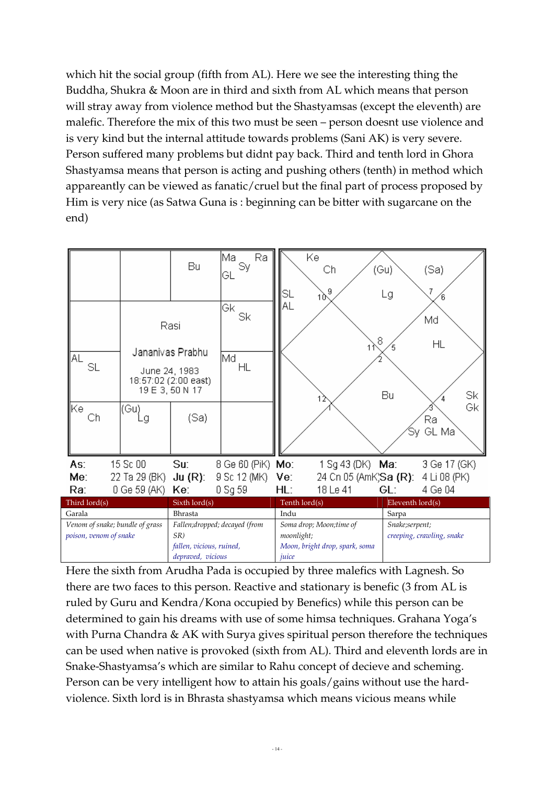which hit the social group (fifth from AL). Here we see the interesting thing the Buddha, Shukra & Moon are in third and sixth from AL which means that person will stray away from violence method but the Shastyamsas (except the eleventh) are malefic. Therefore the mix of this two must be seen – person doesnt use violence and is very kind but the internal attitude towards problems (Sani AK) is very severe. Person suffered many problems but didnt pay back. Third and tenth lord in Ghora Shastyamsa means that person is acting and pushing others (tenth) in method which appareantly can be viewed as fanatic/cruel but the final part of process proposed by Him is very nice (as Satwa Guna is : beginning can be bitter with sugarcane on the end)

|                                                           |                                                | Bu                                                                                       | Ra<br>Ma<br>Sy<br>GL          | SL                                                                               | Ke<br>Сh<br>9<br>10                               |                                             | (Gu)<br>Lg       | (Sa)                                |
|-----------------------------------------------------------|------------------------------------------------|------------------------------------------------------------------------------------------|-------------------------------|----------------------------------------------------------------------------------|---------------------------------------------------|---------------------------------------------|------------------|-------------------------------------|
| AL<br>SL<br>∥Kel<br>Сh                                    | Jananivas Prabhu<br>June 24, 1983<br>(Gu)<br>g | Rasi<br>18:57:02 (2:00 east)<br>19 E 3, 50 N 17<br>(Sa)                                  | Gк<br>Sk<br>∣Md<br>HL         | AL                                                                               |                                                   | 8                                           | Bu<br>Sy.        | Md<br>HL<br>Sk<br>Gk<br>Ra<br>GL Ma |
|                                                           |                                                |                                                                                          |                               |                                                                                  |                                                   |                                             |                  |                                     |
| As:<br>Me:                                                | 15 Sc 00<br>22 Ta 29 (BK)                      | Su:<br>$Ju(R)$ :                                                                         | 8 Ge 60 (PiK)<br>9 Sc 12 (MK) | Mo:<br>Ve:                                                                       | 1 Sg 43 (DK) <b>Ma</b> :<br>24 Cn 05 (AmK;Sa (R): |                                             |                  | 3 Ge 17 (GK)<br>4 Li 08 (PK)        |
| Ra:                                                       | 0 Ge 59 (AK)                                   | Ke:                                                                                      | 0 Sg 59                       | HL:                                                                              | 18 Le 41                                          |                                             | GL:              | 4 Ge 04                             |
| Third lord(s)                                             |                                                | Sixth lord(s)                                                                            |                               | Tenth lord(s)                                                                    |                                                   |                                             | Eleventh lord(s) |                                     |
| Garala                                                    |                                                | <b>Bhrasta</b>                                                                           |                               | Indu                                                                             |                                                   | Sarpa                                       |                  |                                     |
| Venom of snake; bundle of grass<br>poison, venom of snake |                                                | Fallen;dropped; decayed (from<br>$SR$ )<br>fallen, vicious, ruined,<br>depraved, vicious |                               | Soma drop; Moon;time of<br>moonlight;<br>Moon, bright drop, spark, soma<br>juice |                                                   | Snake;serpent;<br>creeping, crawling, snake |                  |                                     |

Here the sixth from Arudha Pada is occupied by three malefics with Lagnesh. So there are two faces to this person. Reactive and stationary is benefic (3 from AL is ruled by Guru and Kendra/Kona occupied by Benefics) while this person can be determined to gain his dreams with use of some himsa techniques. Grahana Yoga's with Purna Chandra & AK with Surya gives spiritual person therefore the techniques can be used when native is provoked (sixth from AL). Third and eleventh lords are in Snake-Shastyamsa's which are similar to Rahu concept of decieve and scheming. Person can be very intelligent how to attain his goals/gains without use the hardviolence. Sixth lord is in Bhrasta shastyamsa which means vicious means while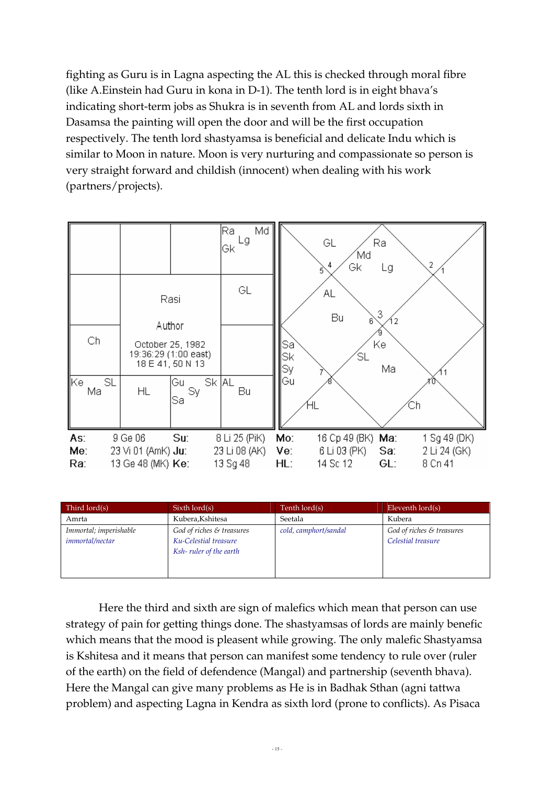fighting as Guru is in Lagna aspecting the AL this is checked through moral fibre (like A.Einstein had Guru in kona in D-1). The tenth lord is in eight bhava's indicating short-term jobs as Shukra is in seventh from AL and lords sixth in Dasamsa the painting will open the door and will be the first occupation respectively. The tenth lord shastyamsa is beneficial and delicate Indu which is similar to Moon in nature. Moon is very nurturing and compassionate so person is very straight forward and childish (innocent) when dealing with his work (partners/projects).

|                         |                                                    |                                                              | Md<br>Ra<br>Lg<br>Gk                       |                      | GL<br>Ra<br>Md<br>4<br>Gk<br>Lg<br>5                        | 2                                       |
|-------------------------|----------------------------------------------------|--------------------------------------------------------------|--------------------------------------------|----------------------|-------------------------------------------------------------|-----------------------------------------|
|                         |                                                    | Rasi<br>Author                                               | GL                                         |                      | ΑL<br>3<br>Bu<br>6                                          |                                         |
| Ch                      |                                                    | October 25, 1982<br>19:36:29 (1:00 east)<br>18 E 41, 50 N 13 |                                            | Saì<br>Sk<br>Sy      | Ke<br>΄SL<br>Ma                                             |                                         |
| ∥Kel<br><b>SL</b><br>Ma | <b>HL</b>                                          | Gu<br>Sy<br>Sa                                               | Sk AL<br>Bu                                | Gu                   |                                                             |                                         |
| As:<br>Me:<br>Ra:       | 9 Ge 06<br>23 Vi 01 (AmK) Ju:<br>13 Ge 48 (MK) Ke: | Su:                                                          | 8 Li 25 (PiK)<br>23 Li 08 (AK)<br>13 Sg 48 | Mo:<br>Ve:<br>$HL$ : | 16 Cp 49 (BK) Ma:<br>6 Li 03 (PK)<br>Sa:<br>14 Sc 12<br>GL: | 1 Sg 49 (DK)<br>2 Li 24 (GK)<br>8 Cn 41 |

| Third lord(s)                                    | $Sixth$ lord $(s)$                                                           | Tenth lord(s)         | Eleventh $\text{Iord}(s)$                       |
|--------------------------------------------------|------------------------------------------------------------------------------|-----------------------|-------------------------------------------------|
| Amrta                                            | Kubera, Kshitesa                                                             | Seetala               | Kubera                                          |
| Immortal; imperishable<br><i>immortal/nectar</i> | God of riches & treasures<br>Ku-Celestial treasure<br>Ksh-ruler of the earth | cold, camphort/sandal | God of riches & treasures<br>Celestial treasure |

Here the third and sixth are sign of malefics which mean that person can use strategy of pain for getting things done. The shastyamsas of lords are mainly benefic which means that the mood is pleasent while growing. The only malefic Shastyamsa is Kshitesa and it means that person can manifest some tendency to rule over (ruler of the earth) on the field of defendence (Mangal) and partnership (seventh bhava). Here the Mangal can give many problems as He is in Badhak Sthan (agni tattwa problem) and aspecting Lagna in Kendra as sixth lord (prone to conflicts). As Pisaca